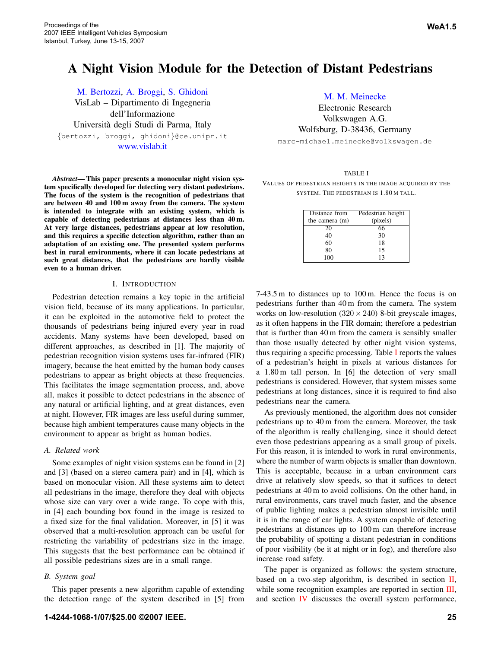# A Night Vision Module for the Detection of Distant Pedestrians

M. Bertozzi, A. Broggi, S. Ghidoni VisLab – Dipartimento di Ingegneria dell'Informazione Universita degli Studi di Parma, Italy ` {bertozzi, broggi, ghidoni}@ce.unipr.it www.vislab.it

*Abstract*— This paper presents a monocular night vision system specifically developed for detecting very distant pedestrians. The focus of the system is the recognition of pedestrians that are between 40 and 100 m away from the camera. The system is intended to integrate with an existing system, which is capable of detecting pedestrians at distances less than 40 m. At very large distances, pedestrians appear at low resolution, and this requires a specific detection algorithm, rather than an adaptation of an existing one. The presented system performs best in rural environments, where it can locate pedestrians at such great distances, that the pedestrians are hardly visible even to a human driver.

# I. INTRODUCTION

Pedestrian detection remains a key topic in the artificial vision field, because of its many applications. In particular, it can be exploited in the automotive field to protect the thousands of pedestrians being injured every year in road accidents. Many systems have been developed, based on different approaches, as described in [1]. The majority of pedestrian recognition vision systems uses far-infrared (FIR) imagery, because the heat emitted by the human body causes pedestrians to appear as bright objects at these frequencies. This facilitates the image segmentation process, and, above all, makes it possible to detect pedestrians in the absence of any natural or artificial lighting, and at great distances, even at night. However, FIR images are less useful during summer, because high ambient temperatures cause many objects in the environment to appear as bright as human bodies.

#### *A. Related work*

Some examples of night vision systems can be found in [2] and [3] (based on a stereo camera pair) and in [4], which is based on monocular vision. All these systems aim to detect all pedestrians in the image, therefore they deal with objects whose size can vary over a wide range. To cope with this, in [4] each bounding box found in the image is resized to a fixed size for the final validation. Moreover, in [5] it was observed that a multi-resolution approach can be useful for restricting the variability of pedestrians size in the image. This suggests that the best performance can be obtained if all possible pedestrians sizes are in a small range.

## *B. System goal*

This paper presents a new algorithm capable of extending the detection range of the system described in [5] from M. M. Meinecke

Electronic Research Volkswagen A.G. Wolfsburg, D-38436, Germany

marc-michael.meinecke@volkswagen.de

#### TABLE I

VALUES OF PEDESTRIAN HEIGHTS IN THE IMAGE ACQUIRED BY THE SYSTEM. THE PEDESTRIAN IS 1.80 M TALL.

| Distance from  | Pedestrian height |
|----------------|-------------------|
| the camera (m) | (pixels)          |
| 20             | 66                |
| 40             | 30                |
| 60             | 18                |
| 80             | 15                |
| 100            | 13                |

7-43.5 m to distances up to 100 m. Hence the focus is on pedestrians further than 40 m from the camera. The system works on low-resolution  $(320 \times 240)$  8-bit greyscale images, as it often happens in the FIR domain; therefore a pedestrian that is further than 40 m from the camera is sensibly smaller than those usually detected by other night vision systems, thus requiring a specific processing. Table I reports the values of a pedestrian's height in pixels at various distances for a 1.80 m tall person. In [6] the detection of very small pedestrians is considered. However, that system misses some pedestrians at long distances, since it is required to find also pedestrians near the camera.

As previously mentioned, the algorithm does not consider pedestrians up to 40 m from the camera. Moreover, the task of the algorithm is really challenging, since it should detect even those pedestrians appearing as a small group of pixels. For this reason, it is intended to work in rural environments, where the number of warm objects is smaller than downtown. This is acceptable, because in a urban environment cars drive at relatively slow speeds, so that it suffices to detect pedestrians at 40 m to avoid collisions. On the other hand, in rural environments, cars travel much faster, and the absence of public lighting makes a pedestrian almost invisible until it is in the range of car lights. A system capable of detecting pedestrians at distances up to 100 m can therefore increase the probability of spotting a distant pedestrian in conditions of poor visibility (be it at night or in fog), and therefore also increase road safety.

The paper is organized as follows: the system structure, based on a two-step algorithm, is described in section  $II$ , while some recognition examples are reported in section III, and section IV discusses the overall system performance,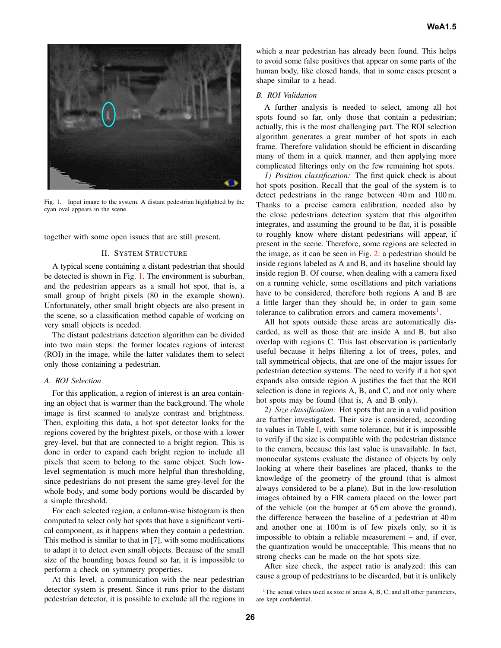

Fig. 1. Input image to the system. A distant pedestrian highlighted by the cyan oval appears in the scene.

together with some open issues that are still present.

## II. SYSTEM STRUCTURE

A typical scene containing a distant pedestrian that should be detected is shown in Fig. 1. The environment is suburban, and the pedestrian appears as a small hot spot, that is, a small group of bright pixels (80 in the example shown). Unfortunately, other small bright objects are also present in the scene, so a classification method capable of working on very small objects is needed.

The distant pedestrians detection algorithm can be divided into two main steps: the former locates regions of interest (ROI) in the image, while the latter validates them to select only those containing a pedestrian.

#### *A. ROI Selection*

For this application, a region of interest is an area containing an object that is warmer than the background. The whole image is first scanned to analyze contrast and brightness. Then, exploiting this data, a hot spot detector looks for the regions covered by the brightest pixels, or those with a lower grey-level, but that are connected to a bright region. This is done in order to expand each bright region to include all pixels that seem to belong to the same object. Such lowlevel segmentation is much more helpful than thresholding, since pedestrians do not present the same grey-level for the whole body, and some body portions would be discarded by a simple threshold.

For each selected region, a column-wise histogram is then computed to select only hot spots that have a significant vertical component, as it happens when they contain a pedestrian. This method is similar to that in [7], with some modifications to adapt it to detect even small objects. Because of the small size of the bounding boxes found so far, it is impossible to perform a check on symmetry properties.

At this level, a communication with the near pedestrian detector system is present. Since it runs prior to the distant pedestrian detector, it is possible to exclude all the regions in which a near pedestrian has already been found. This helps to avoid some false positives that appear on some parts of the human body, like closed hands, that in some cases present a shape similar to a head.

# *B. ROI Validation*

A further analysis is needed to select, among all hot spots found so far, only those that contain a pedestrian; actually, this is the most challenging part. The ROI selection algorithm generates a great number of hot spots in each frame. Therefore validation should be efficient in discarding many of them in a quick manner, and then applying more complicated filterings only on the few remaining hot spots.

*1) Position classification:* The first quick check is about hot spots position. Recall that the goal of the system is to detect pedestrians in the range between 40 m and 100 m. Thanks to a precise camera calibration, needed also by the close pedestrians detection system that this algorithm integrates, and assuming the ground to be flat, it is possible to roughly know where distant pedestrians will appear, if present in the scene. Therefore, some regions are selected in the image, as it can be seen in Fig. 2: a pedestrian should be inside regions labeled as A and B, and its baseline should lay inside region B. Of course, when dealing with a camera fixed on a running vehicle, some oscillations and pitch variations have to be considered, therefore both regions A and B are a little larger than they should be, in order to gain some tolerance to calibration errors and camera movements<sup>1</sup>.

All hot spots outside these areas are automatically discarded, as well as those that are inside A and B, but also overlap with regions C. This last observation is particularly useful because it helps filtering a lot of trees, poles, and tall symmetrical objects, that are one of the major issues for pedestrian detection systems. The need to verify if a hot spot expands also outside region A justifies the fact that the ROI selection is done in regions A, B, and C, and not only where hot spots may be found (that is, A and B only).

*2) Size classification:* Hot spots that are in a valid position are further investigated. Their size is considered, according to values in Table I, with some tolerance, but it is impossible to verify if the size is compatible with the pedestrian distance to the camera, because this last value is unavailable. In fact, monocular systems evaluate the distance of objects by only looking at where their baselines are placed, thanks to the knowledge of the geometry of the ground (that is almost always considered to be a plane). But in the low-resolution images obtained by a FIR camera placed on the lower part of the vehicle (on the bumper at 65 cm above the ground), the difference between the baseline of a pedestrian at 40 m and another one at 100 m is of few pixels only, so it is impossible to obtain a reliable measurement – and, if ever, the quantization would be unacceptable. This means that no strong checks can be made on the hot spots size.

After size check, the aspect ratio is analyzed: this can cause a group of pedestrians to be discarded, but it is unlikely

<sup>&</sup>lt;sup>1</sup>The actual values used as size of areas A, B, C, and all other parameters, are kept confidential.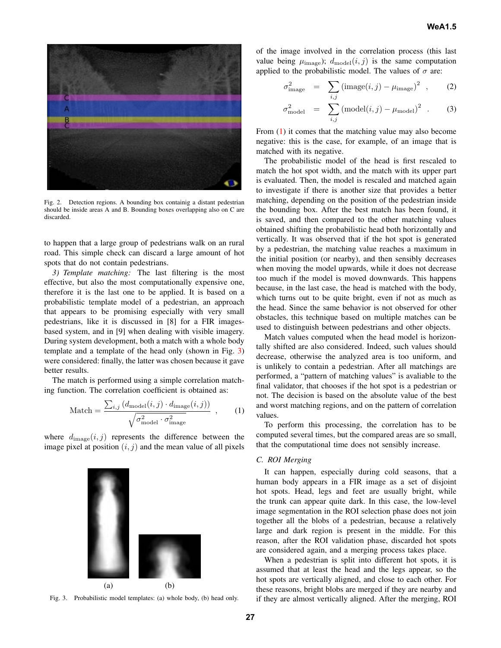

Fig. 2. Detection regions. A bounding box containig a distant pedestrian should be inside areas A and B. Bounding boxes overlapping also on C are discarded.

to happen that a large group of pedestrians walk on an rural road. This simple check can discard a large amount of hot spots that do not contain pedestrians.

*3) Template matching:* The last filtering is the most effective, but also the most computationally expensive one, therefore it is the last one to be applied. It is based on a probabilistic template model of a pedestrian, an approach that appears to be promising especially with very small pedestrians, like it is discussed in [8] for a FIR imagesbased system, and in [9] when dealing with visible imagery. During system development, both a match with a whole body template and a template of the head only (shown in Fig. 3) were considered: finally, the latter was chosen because it gave better results.

The match is performed using a simple correlation matching function. The correlation coefficient is obtained as:

$$
\text{Match} = \frac{\sum_{i,j} (d_{\text{model}}(i,j) \cdot d_{\text{image}}(i,j))}{\sqrt{\sigma_{\text{model}}^2 \cdot \sigma_{\text{image}}^2}} , \quad (1)
$$

where  $d_{\text{image}}(i, j)$  represents the difference between the image pixel at position  $(i, j)$  and the mean value of all pixels



Fig. 3. Probabilistic model templates: (a) whole body, (b) head only.

of the image involved in the correlation process (this last value being  $\mu_{\text{image}}$ );  $d_{\text{model}}(i, j)$  is the same computation applied to the probabilistic model. The values of  $\sigma$  are:

$$
\sigma_{\text{image}}^2 = \sum_{i,j} \left( \text{image}(i,j) - \mu_{\text{image}} \right)^2 , \qquad (2)
$$

$$
\sigma_{\text{model}}^2 = \sum_{i,j} \left( \text{model}(i,j) - \mu_{\text{model}} \right)^2 \quad . \tag{3}
$$

From (1) it comes that the matching value may also become negative: this is the case, for example, of an image that is matched with its negative.

The probabilistic model of the head is first rescaled to match the hot spot width, and the match with its upper part is evaluated. Then, the model is rescaled and matched again to investigate if there is another size that provides a better matching, depending on the position of the pedestrian inside the bounding box. After the best match has been found, it is saved, and then compared to the other matching values obtained shifting the probabilistic head both horizontally and vertically. It was observed that if the hot spot is generated by a pedestrian, the matching value reaches a maximum in the initial position (or nearby), and then sensibly decreases when moving the model upwards, while it does not decrease too much if the model is moved downwards. This happens because, in the last case, the head is matched with the body, which turns out to be quite bright, even if not as much as the head. Since the same behavior is not observed for other obstacles, this technique based on multiple matches can be used to distinguish between pedestrians and other objects.

Match values computed when the head model is horizontally shifted are also considered. Indeed, such values should decrease, otherwise the analyzed area is too uniform, and is unlikely to contain a pedestrian. After all matchings are performed, a "pattern of matching values" is avaliable to the final validator, that chooses if the hot spot is a pedestrian or not. The decision is based on the absolute value of the best and worst matching regions, and on the pattern of correlation values.

To perform this processing, the correlation has to be computed several times, but the compared areas are so small, that the computational time does not sensibly increase.

## *C. ROI Merging*

It can happen, especially during cold seasons, that a human body appears in a FIR image as a set of disjoint hot spots. Head, legs and feet are usually bright, while the trunk can appear quite dark. In this case, the low-level image segmentation in the ROI selection phase does not join together all the blobs of a pedestrian, because a relatively large and dark region is present in the middle. For this reason, after the ROI validation phase, discarded hot spots are considered again, and a merging process takes place.

When a pedestrian is split into different hot spots, it is assumed that at least the head and the legs appear, so the hot spots are vertically aligned, and close to each other. For these reasons, bright blobs are merged if they are nearby and if they are almost vertically aligned. After the merging, ROI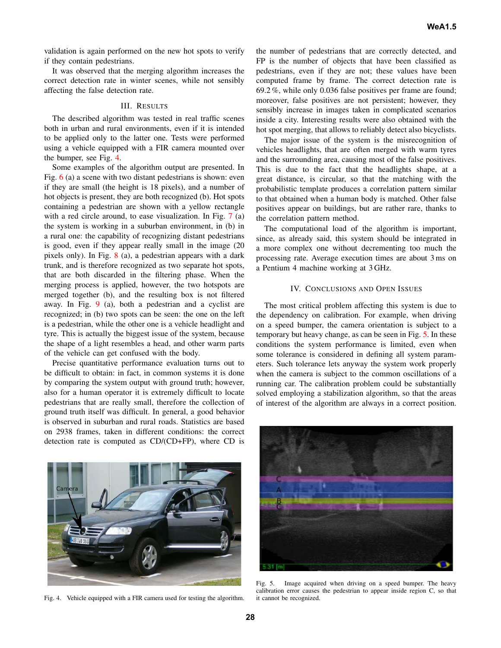validation is again performed on the new hot spots to verify if they contain pedestrians.

It was observed that the merging algorithm increases the correct detection rate in winter scenes, while not sensibly affecting the false detection rate.

## III. RESULTS

The described algorithm was tested in real traffic scenes both in urban and rural environments, even if it is intended to be applied only to the latter one. Tests were performed using a vehicle equipped with a FIR camera mounted over the bumper, see Fig. 4.

Some examples of the algorithm output are presented. In Fig.  $6$  (a) a scene with two distant pedestrians is shown: even if they are small (the height is 18 pixels), and a number of hot objects is present, they are both recognized (b). Hot spots containing a pedestrian are shown with a yellow rectangle with a red circle around, to ease visualization. In Fig. 7 (a) the system is working in a suburban environment, in (b) in a rural one: the capability of recognizing distant pedestrians is good, even if they appear really small in the image (20 pixels only). In Fig. 8 (a), a pedestrian appears with a dark trunk, and is therefore recognized as two separate hot spots, that are both discarded in the filtering phase. When the merging process is applied, however, the two hotspots are merged together (b), and the resulting box is not filtered away. In Fig. 9 (a), both a pedestrian and a cyclist are recognized; in (b) two spots can be seen: the one on the left is a pedestrian, while the other one is a vehicle headlight and tyre. This is actually the biggest issue of the system, because the shape of a light resembles a head, and other warm parts of the vehicle can get confused with the body.

Precise quantitative performance evaluation turns out to be difficult to obtain: in fact, in common systems it is done by comparing the system output with ground truth; however, also for a human operator it is extremely difficult to locate pedestrians that are really small, therefore the collection of ground truth itself was difficult. In general, a good behavior is observed in suburban and rural roads. Statistics are based on 2938 frames, taken in different conditions: the correct detection rate is computed as CD/(CD+FP), where CD is



Fig. 4. Vehicle equipped with a FIR camera used for testing the algorithm.

the number of pedestrians that are correctly detected, and FP is the number of objects that have been classified as pedestrians, even if they are not; these values have been computed frame by frame. The correct detection rate is 69.2 %, while only 0.036 false positives per frame are found; moreover, false positives are not persistent; however, they sensibly increase in images taken in complicated scenarios inside a city. Interesting results were also obtained with the hot spot merging, that allows to reliably detect also bicyclists.

The major issue of the system is the misrecognition of vehicles headlights, that are often merged with warm tyres and the surrounding area, causing most of the false positives. This is due to the fact that the headlights shape, at a great distance, is circular, so that the matching with the probabilistic template produces a correlation pattern similar to that obtained when a human body is matched. Other false positives appear on buildings, but are rather rare, thanks to the correlation pattern method.

The computational load of the algorithm is important, since, as already said, this system should be integrated in a more complex one without decrementing too much the processing rate. Average execution times are about 3 ms on a Pentium 4 machine working at 3 GHz.

## IV. CONCLUSIONS AND OPEN ISSUES

The most critical problem affecting this system is due to the dependency on calibration. For example, when driving on a speed bumper, the camera orientation is subject to a temporary but heavy change, as can be seen in Fig. 5. In these conditions the system performance is limited, even when some tolerance is considered in defining all system parameters. Such tolerance lets anyway the system work properly when the camera is subject to the common oscillations of a running car. The calibration problem could be substantially solved employing a stabilization algorithm, so that the areas of interest of the algorithm are always in a correct position.



Fig. 5. Image acquired when driving on a speed bumper. The heavy calibration error causes the pedestrian to appear inside region C, so that it cannot be recognized.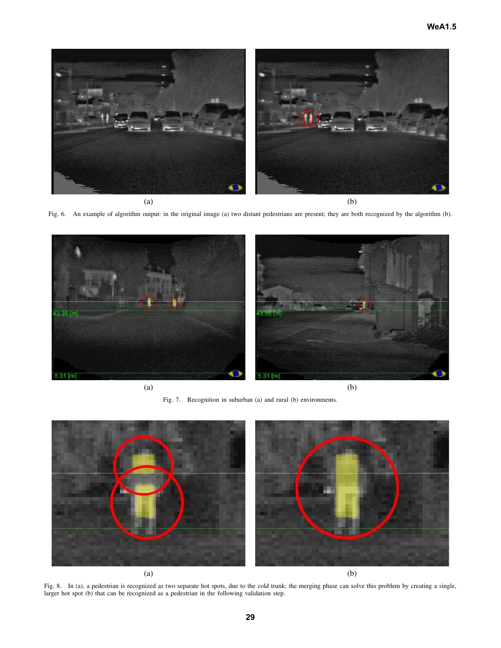

Fig. 6. An example of algorithm output: in the original image (a) two distant pedestrians are present; they are both recognized by the algorithm (b).



Fig. 7. Recognition in suburban (a) and rural (b) environments.



Fig. 8. In (a), a pedestrian is recognized as two separate hot spots, due to the cold trunk; the merging phase can solve this problem by creating a single, larger hot spot (b) that can be recognized as a pedestrian in the following validation step.